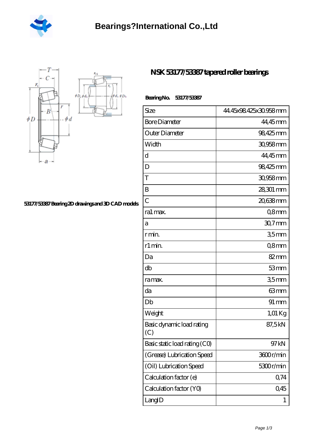



## **[53177/53387 Bearing 2D drawings and 3D CAD models](https://desmp.com/pic-30991.html)**

## **[NSK 53177/53387 tapered roller bearings](https://desmp.com/am-30991-nsk-53177-53387-tapered-roller-bearings.html)**

| 53177/53387<br>BearingNo. |
|---------------------------|
|---------------------------|

| Size                             | 44.45x98.425x30.958mm |
|----------------------------------|-----------------------|
| <b>Bore Diameter</b>             | 44,45mm               |
| Outer Diameter                   | 98,425mm              |
| Width                            | 30,958mm              |
| d                                | 44,45mm               |
| D                                | 98,425mm              |
| T                                | 30,958 mm             |
| B                                | 28,301 mm             |
| $\overline{C}$                   | 20,638mm              |
| ra1 max.                         | Q8mm                  |
| а                                | $307$ mm              |
| r min.                           | 35mm                  |
| r1 min.                          | Q8mm                  |
| Da                               | 82mm                  |
| db                               | 53mm                  |
| ra max.                          | 35mm                  |
| da                               | 63mm                  |
| Db                               | $91 \, \text{mm}$     |
| Weight                           | 1,01 Kg               |
| Basic dynamic load rating<br>(C) | 87,5kN                |
| Basic static load rating (CO)    | 97kN                  |
| (Grease) Lubrication Speed       | 3600r/min             |
| (Oil) Lubrication Speed          | 5300r/min             |
| Calculation factor (e)           | 0,74                  |
| Calculation factor (YO)          | 0,45                  |
| LangID                           | 1                     |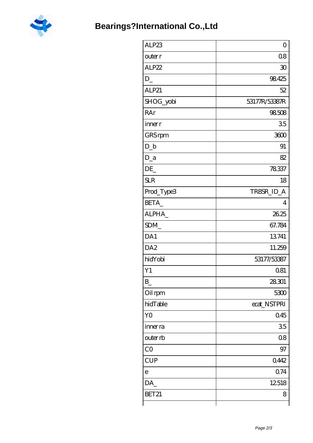

| ALP23           | $\overline{O}$ |
|-----------------|----------------|
| outer r         | 08             |
| ALP22           | 30             |
| D               | 98425          |
| ALP21           | 52             |
| SHOG_yobi       | 53177R/53387R  |
| RAr             | 98508          |
| inner r         | 35             |
| GRS rpm         | 3600           |
| $D_b$           | 91             |
| $D_a$           | 82             |
| DE              | 78337          |
| <b>SLR</b>      | 18             |
| Prod_Type3      | TRBSR_ID_A     |
| BETA            | $\overline{4}$ |
| ALPHA           | 26.25          |
| SDM_            | 67.784         |
| DA1             | 13741          |
| DA <sub>2</sub> | 11.259         |
| hidYobi         | 53177/53387    |
| Y1              | 081            |
| $B_{-}$         | 28301          |
| Oil rpm         | 5300           |
| hidTable        | ecat_NSTPRI    |
| Y <sub>O</sub>  | 045            |
| inner ra        | 35             |
| outer rb        | 08             |
| CO              | 97             |
| <b>CUP</b>      | 0.442          |
| $\mathsf{e}$    | 0.74           |
| DA              | 12518          |
| BET21           | 8              |
|                 |                |